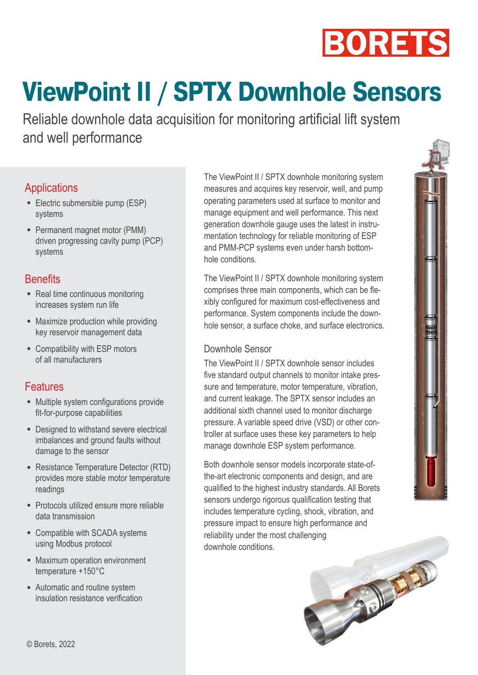

# **ViewPoint II / SPTX Downhole Sensors**

Reliable downhole data acquisition for monitoring artificial lift system and well performance

### **Applications**

- Electric submersible pump (ESP) systems
- Permanent magnet motor (PMM) driven progressing cavity pump (PCP) systems

#### **Benefits**

- Real time continuous monitoring increases system run life
- Maximize production while providing key reservoir management data
- Compatibility with ESP motors of all manufacturers

## Features

- Multiple system configurations provide fit-for-purpose capabilities
- Designed to withstand severe electrical imbalances and ground faults without damage to the sensor
- Resistance Temperature Detector (RTD) provides more stable motor temperature readings
- Protocols utilized ensure more reliable data transmission
- Compatible with SCADA systems using Modbus protocol
- Maximum operation environment temperature +150°С
- Automatic and routine system insulation resistance verification

The ViewPoint II / SPTX downhole monitoring system measures and acquires key reservoir, well, and pump operating parameters used at surface to monitor and manage equipment and well performance. This next generation downhole gauge uses the latest in instrumentation technology for reliable monitoring of ESP and PMM-PCP systems even under harsh bottomhole conditions.

The ViewPoint II / SPTX downhole monitoring system comprises three main components, which can be flexibly configured for maximum cost-effectiveness and performance. System components include the downhole sensor, a surface choke, and surface electronics.

#### Downhole Sensor

The ViewPoint II / SPTX downhole sensor includes five standard output channels to monitor intake pressure and temperature, motor temperature, vibration, and current leakage. The SPTX sensor includes an additional sixth channel used to monitor discharge pressure. A variable speed drive (VSD) or other controller at surface uses these key parameters to help manage downhole ESP system performance.

Both downhole sensor models incorporate state-ofthe-art electronic components and design, and are qualified to the highest industry standards. All Borets sensors undergo rigorous qualification testing that includes temperature cycling, shock, vibration, and pressure impact to ensure high performance and reliability under the most challenging downhole conditions.